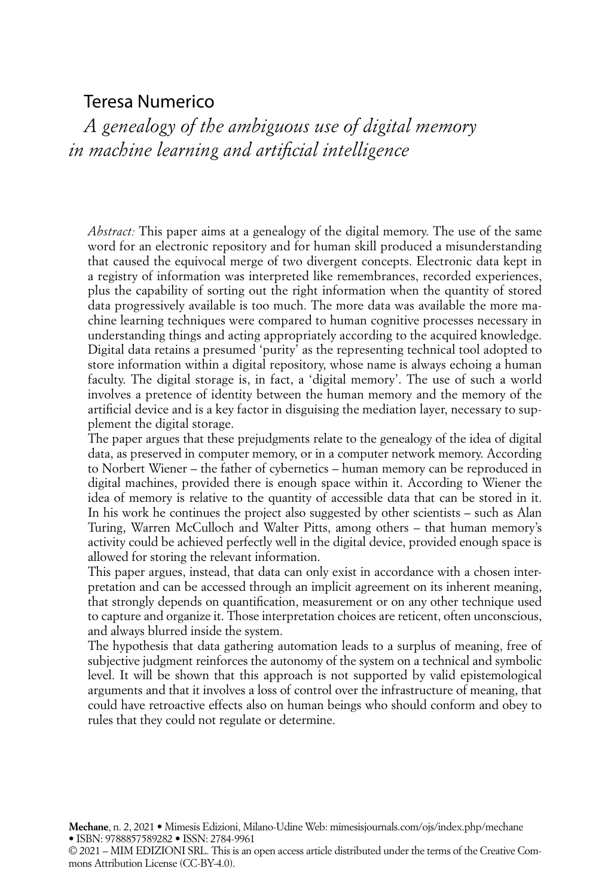## Teresa Numerico

*A genealogy of the ambiguous use of digital memory in machine learning and artificial intelligence*

*Abstract:* This paper aims at a genealogy of the digital memory. The use of the same word for an electronic repository and for human skill produced a misunderstanding that caused the equivocal merge of two divergent concepts. Electronic data kept in a registry of information was interpreted like remembrances, recorded experiences, plus the capability of sorting out the right information when the quantity of stored data progressively available is too much. The more data was available the more machine learning techniques were compared to human cognitive processes necessary in understanding things and acting appropriately according to the acquired knowledge. Digital data retains a presumed 'purity' as the representing technical tool adopted to store information within a digital repository, whose name is always echoing a human faculty. The digital storage is, in fact, a 'digital memory'. The use of such a world involves a pretence of identity between the human memory and the memory of the artificial device and is a key factor in disguising the mediation layer, necessary to supplement the digital storage.

The paper argues that these prejudgments relate to the genealogy of the idea of digital data, as preserved in computer memory, or in a computer network memory. According to Norbert Wiener – the father of cybernetics – human memory can be reproduced in digital machines, provided there is enough space within it. According to Wiener the idea of memory is relative to the quantity of accessible data that can be stored in it. In his work he continues the project also suggested by other scientists – such as Alan Turing, Warren McCulloch and Walter Pitts, among others – that human memory's activity could be achieved perfectly well in the digital device, provided enough space is allowed for storing the relevant information.

This paper argues, instead, that data can only exist in accordance with a chosen interpretation and can be accessed through an implicit agreement on its inherent meaning, that strongly depends on quantification, measurement or on any other technique used to capture and organize it. Those interpretation choices are reticent, often unconscious, and always blurred inside the system.

The hypothesis that data gathering automation leads to a surplus of meaning, free of subjective judgment reinforces the autonomy of the system on a technical and symbolic level. It will be shown that this approach is not supported by valid epistemological arguments and that it involves a loss of control over the infrastructure of meaning, that could have retroactive effects also on human beings who should conform and obey to rules that they could not regulate or determine.

**Mechane**, n. 2, 2021 • Mimesis Edizioni, Milano-Udine Web: mimesisjournals.com/ojs/index.php/mechane • ISBN: 9788857589282 • ISSN: 2784-9961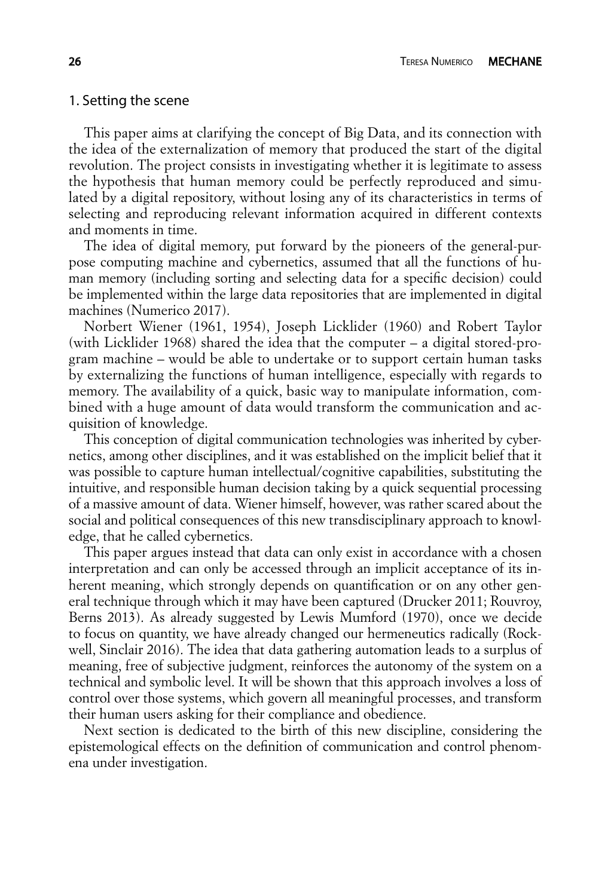#### 1. Setting the scene

This paper aims at clarifying the concept of Big Data, and its connection with the idea of the externalization of memory that produced the start of the digital revolution. The project consists in investigating whether it is legitimate to assess the hypothesis that human memory could be perfectly reproduced and simulated by a digital repository, without losing any of its characteristics in terms of selecting and reproducing relevant information acquired in different contexts and moments in time.

The idea of digital memory, put forward by the pioneers of the general-purpose computing machine and cybernetics, assumed that all the functions of human memory (including sorting and selecting data for a specific decision) could be implemented within the large data repositories that are implemented in digital machines (Numerico 2017).

Norbert Wiener (1961, 1954), Joseph Licklider (1960) and Robert Taylor (with Licklider 1968) shared the idea that the computer – a digital stored-program machine – would be able to undertake or to support certain human tasks by externalizing the functions of human intelligence, especially with regards to memory. The availability of a quick, basic way to manipulate information, combined with a huge amount of data would transform the communication and acquisition of knowledge.

This conception of digital communication technologies was inherited by cybernetics, among other disciplines, and it was established on the implicit belief that it was possible to capture human intellectual/cognitive capabilities, substituting the intuitive, and responsible human decision taking by a quick sequential processing of a massive amount of data. Wiener himself, however, was rather scared about the social and political consequences of this new transdisciplinary approach to knowledge, that he called cybernetics.

This paper argues instead that data can only exist in accordance with a chosen interpretation and can only be accessed through an implicit acceptance of its inherent meaning, which strongly depends on quantification or on any other general technique through which it may have been captured (Drucker 2011; Rouvroy, Berns 2013). As already suggested by Lewis Mumford (1970), once we decide to focus on quantity, we have already changed our hermeneutics radically (Rockwell, Sinclair 2016). The idea that data gathering automation leads to a surplus of meaning, free of subjective judgment, reinforces the autonomy of the system on a technical and symbolic level. It will be shown that this approach involves a loss of control over those systems, which govern all meaningful processes, and transform their human users asking for their compliance and obedience.

Next section is dedicated to the birth of this new discipline, considering the epistemological effects on the definition of communication and control phenomena under investigation.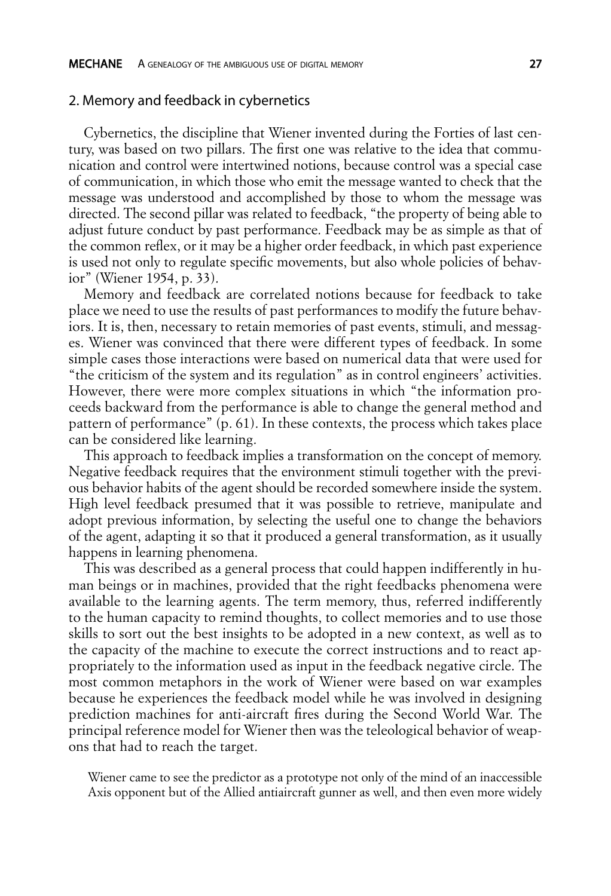#### 2. Memory and feedback in cybernetics

Cybernetics, the discipline that Wiener invented during the Forties of last century, was based on two pillars. The first one was relative to the idea that communication and control were intertwined notions, because control was a special case of communication, in which those who emit the message wanted to check that the message was understood and accomplished by those to whom the message was directed. The second pillar was related to feedback, "the property of being able to adjust future conduct by past performance. Feedback may be as simple as that of the common reflex, or it may be a higher order feedback, in which past experience is used not only to regulate specific movements, but also whole policies of behavior" (Wiener 1954, p. 33).

Memory and feedback are correlated notions because for feedback to take place we need to use the results of past performances to modify the future behaviors. It is, then, necessary to retain memories of past events, stimuli, and messages. Wiener was convinced that there were different types of feedback. In some simple cases those interactions were based on numerical data that were used for "the criticism of the system and its regulation" as in control engineers' activities. However, there were more complex situations in which "the information proceeds backward from the performance is able to change the general method and pattern of performance" (p. 61). In these contexts, the process which takes place can be considered like learning.

This approach to feedback implies a transformation on the concept of memory. Negative feedback requires that the environment stimuli together with the previous behavior habits of the agent should be recorded somewhere inside the system. High level feedback presumed that it was possible to retrieve, manipulate and adopt previous information, by selecting the useful one to change the behaviors of the agent, adapting it so that it produced a general transformation, as it usually happens in learning phenomena.

This was described as a general process that could happen indifferently in human beings or in machines, provided that the right feedbacks phenomena were available to the learning agents. The term memory, thus, referred indifferently to the human capacity to remind thoughts, to collect memories and to use those skills to sort out the best insights to be adopted in a new context, as well as to the capacity of the machine to execute the correct instructions and to react appropriately to the information used as input in the feedback negative circle. The most common metaphors in the work of Wiener were based on war examples because he experiences the feedback model while he was involved in designing prediction machines for anti-aircraft fires during the Second World War. The principal reference model for Wiener then was the teleological behavior of weapons that had to reach the target.

Wiener came to see the predictor as a prototype not only of the mind of an inaccessible Axis opponent but of the Allied antiaircraft gunner as well, and then even more widely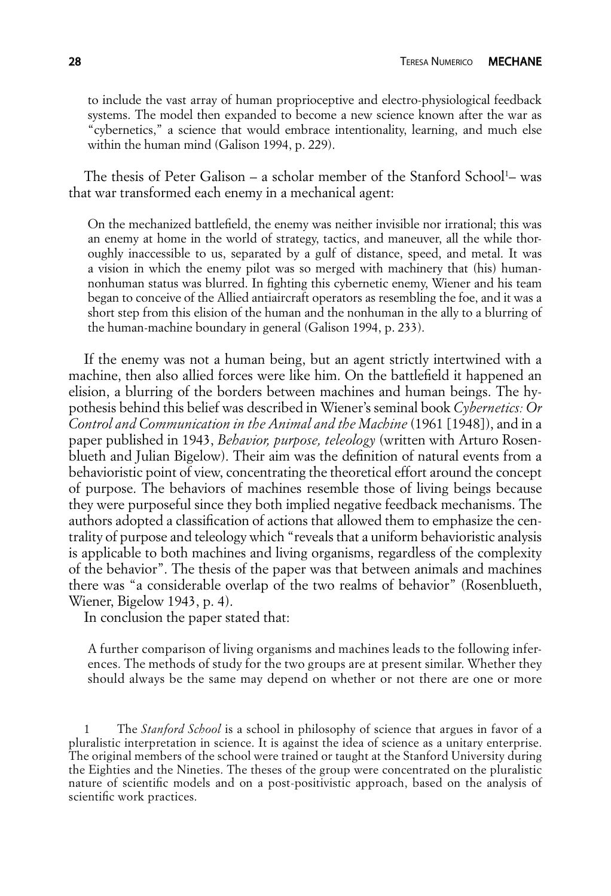to include the vast array of human proprioceptive and electro-physiological feedback systems. The model then expanded to become a new science known after the war as "cybernetics," a science that would embrace intentionality, learning, and much else within the human mind (Galison 1994, p. 229).

The thesis of Peter Galison – a scholar member of the Stanford School<sup>1</sup>– was that war transformed each enemy in a mechanical agent:

On the mechanized battlefield, the enemy was neither invisible nor irrational; this was an enemy at home in the world of strategy, tactics, and maneuver, all the while thoroughly inaccessible to us, separated by a gulf of distance, speed, and metal. It was a vision in which the enemy pilot was so merged with machinery that (his) humannonhuman status was blurred. In fighting this cybernetic enemy, Wiener and his team began to conceive of the Allied antiaircraft operators as resembling the foe, and it was a short step from this elision of the human and the nonhuman in the ally to a blurring of the human-machine boundary in general (Galison 1994, p. 233).

If the enemy was not a human being, but an agent strictly intertwined with a machine, then also allied forces were like him. On the battlefield it happened an elision, a blurring of the borders between machines and human beings. The hypothesis behind this belief was described in Wiener's seminal book *Cybernetics: Or Control and Communication in the Animal and the Machine* (1961 [1948]), and in a paper published in 1943, *Behavior, purpose, teleology* (written with Arturo Rosenblueth and Julian Bigelow). Their aim was the definition of natural events from a behavioristic point of view, concentrating the theoretical effort around the concept of purpose. The behaviors of machines resemble those of living beings because they were purposeful since they both implied negative feedback mechanisms. The authors adopted a classification of actions that allowed them to emphasize the centrality of purpose and teleology which "reveals that a uniform behavioristic analysis is applicable to both machines and living organisms, regardless of the complexity of the behavior". The thesis of the paper was that between animals and machines there was "a considerable overlap of the two realms of behavior" (Rosenblueth, Wiener, Bigelow 1943, p. 4).

In conclusion the paper stated that:

A further comparison of living organisms and machines leads to the following inferences. The methods of study for the two groups are at present similar. Whether they should always be the same may depend on whether or not there are one or more

<sup>1</sup> The *Stanford School* is a school in philosophy of science that argues in favor of a pluralistic interpretation in science. It is against the idea of science as a unitary enterprise. The original members of the school were trained or taught at the Stanford University during the Eighties and the Nineties. The theses of the group were concentrated on the pluralistic nature of scientific models and on a post-positivistic approach, based on the analysis of scientific work practices.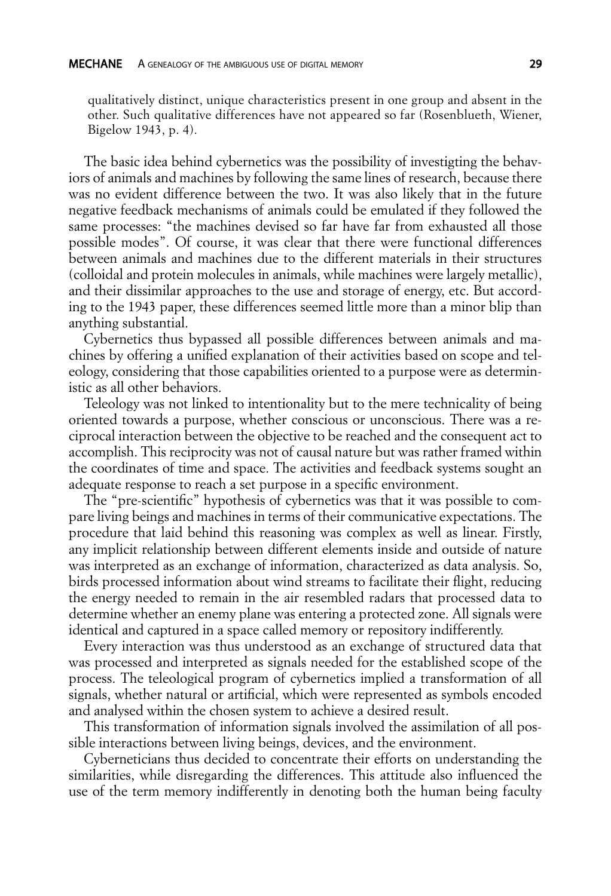qualitatively distinct, unique characteristics present in one group and absent in the other. Such qualitative differences have not appeared so far (Rosenblueth, Wiener, Bigelow 1943, p. 4).

The basic idea behind cybernetics was the possibility of investigting the behaviors of animals and machines by following the same lines of research, because there was no evident difference between the two. It was also likely that in the future negative feedback mechanisms of animals could be emulated if they followed the same processes: "the machines devised so far have far from exhausted all those possible modes". Of course, it was clear that there were functional differences between animals and machines due to the different materials in their structures (colloidal and protein molecules in animals, while machines were largely metallic), and their dissimilar approaches to the use and storage of energy, etc. But according to the 1943 paper, these differences seemed little more than a minor blip than anything substantial.

Cybernetics thus bypassed all possible differences between animals and machines by offering a unified explanation of their activities based on scope and teleology, considering that those capabilities oriented to a purpose were as deterministic as all other behaviors.

Teleology was not linked to intentionality but to the mere technicality of being oriented towards a purpose, whether conscious or unconscious. There was a reciprocal interaction between the objective to be reached and the consequent act to accomplish. This reciprocity was not of causal nature but was rather framed within the coordinates of time and space. The activities and feedback systems sought an adequate response to reach a set purpose in a specific environment.

The "pre-scientific" hypothesis of cybernetics was that it was possible to compare living beings and machines in terms of their communicative expectations. The procedure that laid behind this reasoning was complex as well as linear. Firstly, any implicit relationship between different elements inside and outside of nature was interpreted as an exchange of information, characterized as data analysis. So, birds processed information about wind streams to facilitate their flight, reducing the energy needed to remain in the air resembled radars that processed data to determine whether an enemy plane was entering a protected zone. All signals were identical and captured in a space called memory or repository indifferently.

Every interaction was thus understood as an exchange of structured data that was processed and interpreted as signals needed for the established scope of the process. The teleological program of cybernetics implied a transformation of all signals, whether natural or artificial, which were represented as symbols encoded and analysed within the chosen system to achieve a desired result.

This transformation of information signals involved the assimilation of all possible interactions between living beings, devices, and the environment.

Cyberneticians thus decided to concentrate their efforts on understanding the similarities, while disregarding the differences. This attitude also influenced the use of the term memory indifferently in denoting both the human being faculty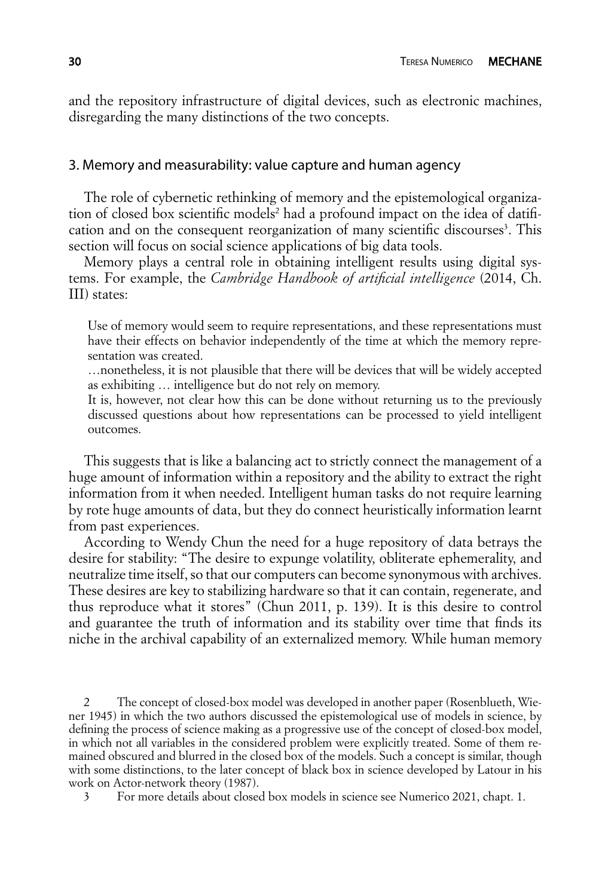and the repository infrastructure of digital devices, such as electronic machines, disregarding the many distinctions of the two concepts.

#### 3. Memory and measurability: value capture and human agency

The role of cybernetic rethinking of memory and the epistemological organization of closed box scientific models<sup>2</sup> had a profound impact on the idea of datification and on the consequent reorganization of many scientific discourses<sup>3</sup>. This section will focus on social science applications of big data tools.

Memory plays a central role in obtaining intelligent results using digital systems. For example, the *Cambridge Handbook of artificial intelligence* (2014, Ch. III) states:

Use of memory would seem to require representations, and these representations must have their effects on behavior independently of the time at which the memory representation was created.

…nonetheless, it is not plausible that there will be devices that will be widely accepted as exhibiting … intelligence but do not rely on memory.

It is, however, not clear how this can be done without returning us to the previously discussed questions about how representations can be processed to yield intelligent outcomes.

This suggests that is like a balancing act to strictly connect the management of a huge amount of information within a repository and the ability to extract the right information from it when needed. Intelligent human tasks do not require learning by rote huge amounts of data, but they do connect heuristically information learnt from past experiences.

According to Wendy Chun the need for a huge repository of data betrays the desire for stability: "The desire to expunge volatility, obliterate ephemerality, and neutralize time itself, so that our computers can become synonymous with archives. These desires are key to stabilizing hardware so that it can contain, regenerate, and thus reproduce what it stores" (Chun 2011, p. 139). It is this desire to control and guarantee the truth of information and its stability over time that finds its niche in the archival capability of an externalized memory. While human memory

2 The concept of closed-box model was developed in another paper (Rosenblueth, Wiener 1945) in which the two authors discussed the epistemological use of models in science, by defining the process of science making as a progressive use of the concept of closed-box model, in which not all variables in the considered problem were explicitly treated. Some of them remained obscured and blurred in the closed box of the models. Such a concept is similar, though with some distinctions, to the later concept of black box in science developed by Latour in his work on Actor-network theory (1987).

3 For more details about closed box models in science see Numerico 2021, chapt. 1.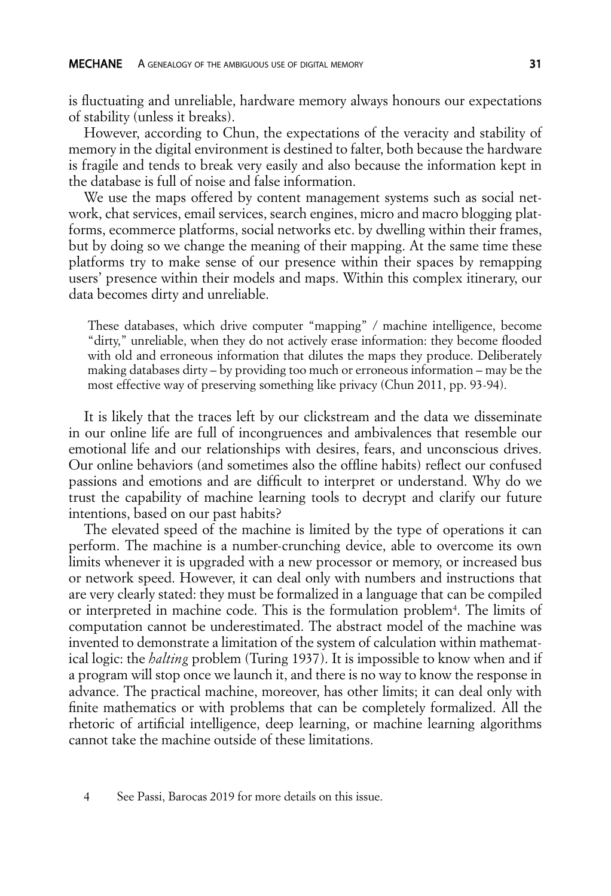is fluctuating and unreliable, hardware memory always honours our expectations of stability (unless it breaks).

However, according to Chun, the expectations of the veracity and stability of memory in the digital environment is destined to falter, both because the hardware is fragile and tends to break very easily and also because the information kept in the database is full of noise and false information.

We use the maps offered by content management systems such as social network, chat services, email services, search engines, micro and macro blogging platforms, ecommerce platforms, social networks etc. by dwelling within their frames, but by doing so we change the meaning of their mapping. At the same time these platforms try to make sense of our presence within their spaces by remapping users' presence within their models and maps. Within this complex itinerary, our data becomes dirty and unreliable.

These databases, which drive computer "mapping" / machine intelligence, become "dirty," unreliable, when they do not actively erase information: they become flooded with old and erroneous information that dilutes the maps they produce. Deliberately making databases dirty – by providing too much or erroneous information – may be the most effective way of preserving something like privacy (Chun 2011, pp. 93-94).

It is likely that the traces left by our clickstream and the data we disseminate in our online life are full of incongruences and ambivalences that resemble our emotional life and our relationships with desires, fears, and unconscious drives. Our online behaviors (and sometimes also the offline habits) reflect our confused passions and emotions and are difficult to interpret or understand. Why do we trust the capability of machine learning tools to decrypt and clarify our future intentions, based on our past habits?

The elevated speed of the machine is limited by the type of operations it can perform. The machine is a number-crunching device, able to overcome its own limits whenever it is upgraded with a new processor or memory, or increased bus or network speed. However, it can deal only with numbers and instructions that are very clearly stated: they must be formalized in a language that can be compiled or interpreted in machine code. This is the formulation problem<sup>4</sup>. The limits of computation cannot be underestimated. The abstract model of the machine was invented to demonstrate a limitation of the system of calculation within mathematical logic: the *halting* problem (Turing 1937). It is impossible to know when and if a program will stop once we launch it, and there is no way to know the response in advance. The practical machine, moreover, has other limits; it can deal only with finite mathematics or with problems that can be completely formalized. All the rhetoric of artificial intelligence, deep learning, or machine learning algorithms cannot take the machine outside of these limitations.

<sup>4</sup> See Passi, Barocas 2019 for more details on this issue.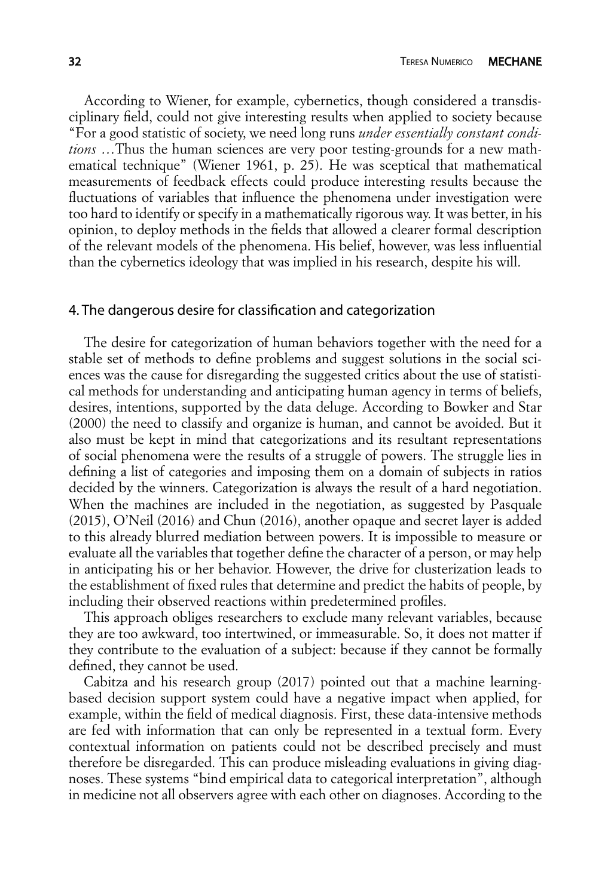According to Wiener, for example, cybernetics, though considered a transdisciplinary field, could not give interesting results when applied to society because "For a good statistic of society, we need long runs *under essentially constant conditions* …Thus the human sciences are very poor testing-grounds for a new mathematical technique" (Wiener 1961, p. 25). He was sceptical that mathematical measurements of feedback effects could produce interesting results because the fluctuations of variables that influence the phenomena under investigation were too hard to identify or specify in a mathematically rigorous way. It was better, in his opinion, to deploy methods in the fields that allowed a clearer formal description of the relevant models of the phenomena. His belief, however, was less influential than the cybernetics ideology that was implied in his research, despite his will.

#### 4. The dangerous desire for classification and categorization

The desire for categorization of human behaviors together with the need for a stable set of methods to define problems and suggest solutions in the social sciences was the cause for disregarding the suggested critics about the use of statistical methods for understanding and anticipating human agency in terms of beliefs, desires, intentions, supported by the data deluge. According to Bowker and Star (2000) the need to classify and organize is human, and cannot be avoided. But it also must be kept in mind that categorizations and its resultant representations of social phenomena were the results of a struggle of powers. The struggle lies in defining a list of categories and imposing them on a domain of subjects in ratios decided by the winners. Categorization is always the result of a hard negotiation. When the machines are included in the negotiation, as suggested by Pasquale (2015), O'Neil (2016) and Chun (2016), another opaque and secret layer is added to this already blurred mediation between powers. It is impossible to measure or evaluate all the variables that together define the character of a person, or may help in anticipating his or her behavior. However, the drive for clusterization leads to the establishment of fixed rules that determine and predict the habits of people, by including their observed reactions within predetermined profiles.

This approach obliges researchers to exclude many relevant variables, because they are too awkward, too intertwined, or immeasurable. So, it does not matter if they contribute to the evaluation of a subject: because if they cannot be formally defined, they cannot be used.

Cabitza and his research group (2017) pointed out that a machine learningbased decision support system could have a negative impact when applied, for example, within the field of medical diagnosis. First, these data-intensive methods are fed with information that can only be represented in a textual form. Every contextual information on patients could not be described precisely and must therefore be disregarded. This can produce misleading evaluations in giving diagnoses. These systems "bind empirical data to categorical interpretation", although in medicine not all observers agree with each other on diagnoses. According to the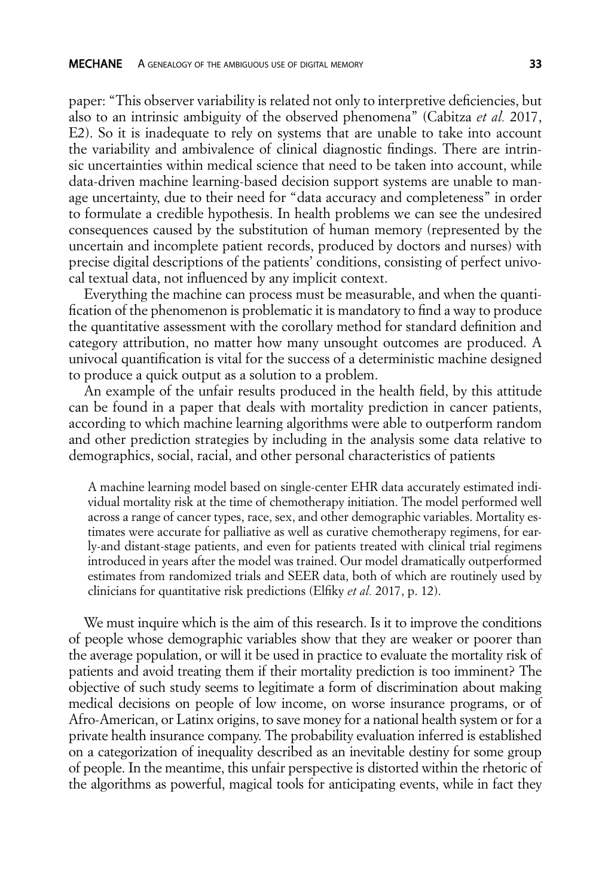paper: "This observer variability is related not only to interpretive deficiencies, but also to an intrinsic ambiguity of the observed phenomena" (Cabitza *et al.* 2017, E2). So it is inadequate to rely on systems that are unable to take into account the variability and ambivalence of clinical diagnostic findings. There are intrinsic uncertainties within medical science that need to be taken into account, while data-driven machine learning-based decision support systems are unable to manage uncertainty, due to their need for "data accuracy and completeness" in order to formulate a credible hypothesis. In health problems we can see the undesired consequences caused by the substitution of human memory (represented by the uncertain and incomplete patient records, produced by doctors and nurses) with precise digital descriptions of the patients' conditions, consisting of perfect univocal textual data, not influenced by any implicit context.

Everything the machine can process must be measurable, and when the quantification of the phenomenon is problematic it is mandatory to find a way to produce the quantitative assessment with the corollary method for standard definition and category attribution, no matter how many unsought outcomes are produced. A univocal quantification is vital for the success of a deterministic machine designed to produce a quick output as a solution to a problem.

An example of the unfair results produced in the health field, by this attitude can be found in a paper that deals with mortality prediction in cancer patients, according to which machine learning algorithms were able to outperform random and other prediction strategies by including in the analysis some data relative to demographics, social, racial, and other personal characteristics of patients

A machine learning model based on single-center EHR data accurately estimated individual mortality risk at the time of chemotherapy initiation. The model performed well across a range of cancer types, race, sex, and other demographic variables. Mortality estimates were accurate for palliative as well as curative chemotherapy regimens, for early-and distant-stage patients, and even for patients treated with clinical trial regimens introduced in years after the model was trained. Our model dramatically outperformed estimates from randomized trials and SEER data, both of which are routinely used by clinicians for quantitative risk predictions (Elfiky *et al.* 2017, p. 12).

We must inquire which is the aim of this research. Is it to improve the conditions of people whose demographic variables show that they are weaker or poorer than the average population, or will it be used in practice to evaluate the mortality risk of patients and avoid treating them if their mortality prediction is too imminent? The objective of such study seems to legitimate a form of discrimination about making medical decisions on people of low income, on worse insurance programs, or of Afro-American, or Latinx origins, to save money for a national health system or for a private health insurance company. The probability evaluation inferred is established on a categorization of inequality described as an inevitable destiny for some group of people. In the meantime, this unfair perspective is distorted within the rhetoric of the algorithms as powerful, magical tools for anticipating events, while in fact they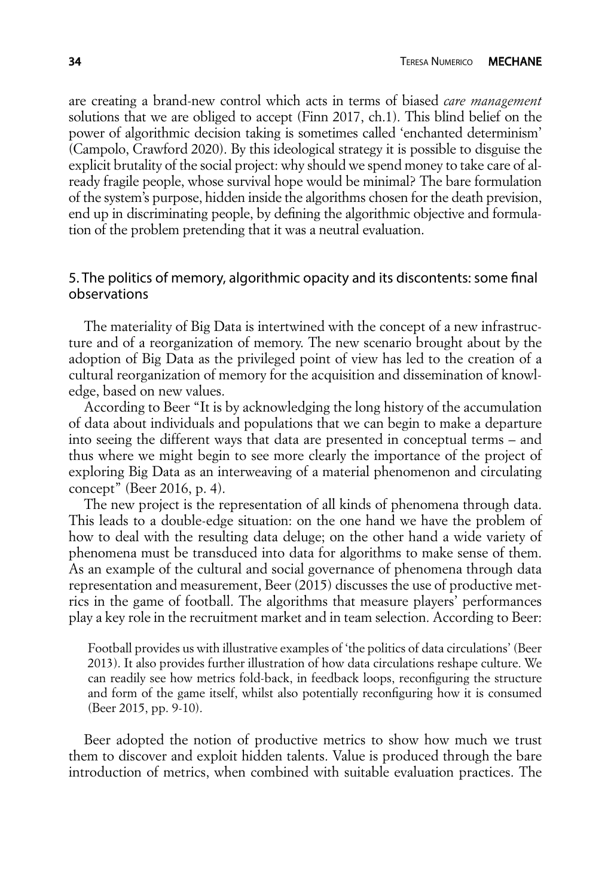are creating a brand-new control which acts in terms of biased *care management* solutions that we are obliged to accept (Finn 2017, ch.1). This blind belief on the power of algorithmic decision taking is sometimes called 'enchanted determinism' (Campolo, Crawford 2020). By this ideological strategy it is possible to disguise the explicit brutality of the social project: why should we spend money to take care of already fragile people, whose survival hope would be minimal? The bare formulation of the system's purpose, hidden inside the algorithms chosen for the death prevision, end up in discriminating people, by defining the algorithmic objective and formulation of the problem pretending that it was a neutral evaluation.

## 5. The politics of memory, algorithmic opacity and its discontents: some final observations

The materiality of Big Data is intertwined with the concept of a new infrastructure and of a reorganization of memory. The new scenario brought about by the adoption of Big Data as the privileged point of view has led to the creation of a cultural reorganization of memory for the acquisition and dissemination of knowledge, based on new values.

According to Beer "It is by acknowledging the long history of the accumulation of data about individuals and populations that we can begin to make a departure into seeing the different ways that data are presented in conceptual terms – and thus where we might begin to see more clearly the importance of the project of exploring Big Data as an interweaving of a material phenomenon and circulating concept" (Beer 2016, p. 4).

The new project is the representation of all kinds of phenomena through data. This leads to a double-edge situation: on the one hand we have the problem of how to deal with the resulting data deluge; on the other hand a wide variety of phenomena must be transduced into data for algorithms to make sense of them. As an example of the cultural and social governance of phenomena through data representation and measurement, Beer (2015) discusses the use of productive metrics in the game of football. The algorithms that measure players' performances play a key role in the recruitment market and in team selection. According to Beer:

Football provides us with illustrative examples of 'the politics of data circulations' (Beer 2013). It also provides further illustration of how data circulations reshape culture. We can readily see how metrics fold-back, in feedback loops, reconfiguring the structure and form of the game itself, whilst also potentially reconfiguring how it is consumed (Beer 2015, pp. 9-10).

Beer adopted the notion of productive metrics to show how much we trust them to discover and exploit hidden talents. Value is produced through the bare introduction of metrics, when combined with suitable evaluation practices. The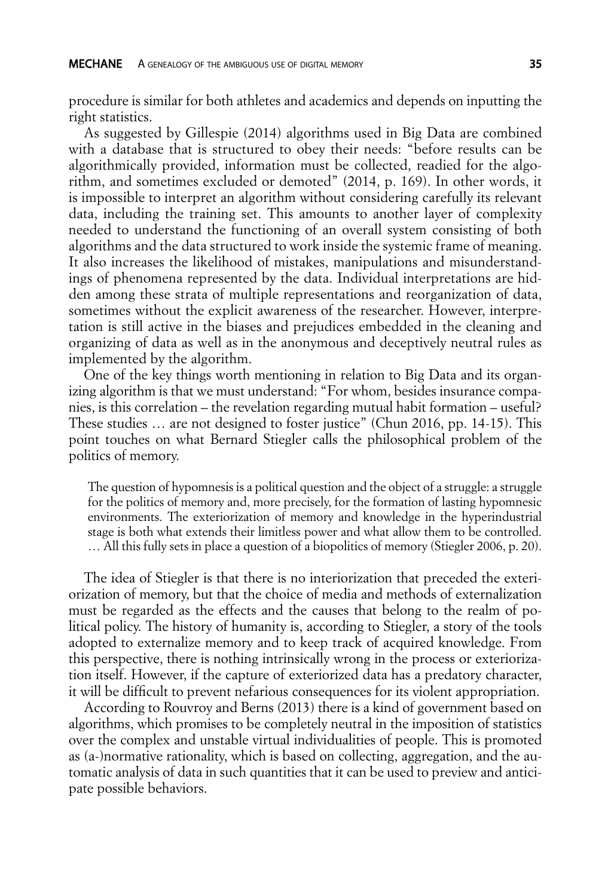procedure is similar for both athletes and academics and depends on inputting the right statistics.

As suggested by Gillespie (2014) algorithms used in Big Data are combined with a database that is structured to obey their needs: "before results can be algorithmically provided, information must be collected, readied for the algorithm, and sometimes excluded or demoted" (2014, p. 169). In other words, it is impossible to interpret an algorithm without considering carefully its relevant data, including the training set. This amounts to another layer of complexity needed to understand the functioning of an overall system consisting of both algorithms and the data structured to work inside the systemic frame of meaning. It also increases the likelihood of mistakes, manipulations and misunderstandings of phenomena represented by the data. Individual interpretations are hidden among these strata of multiple representations and reorganization of data, sometimes without the explicit awareness of the researcher. However, interpretation is still active in the biases and prejudices embedded in the cleaning and organizing of data as well as in the anonymous and deceptively neutral rules as implemented by the algorithm.

One of the key things worth mentioning in relation to Big Data and its organizing algorithm is that we must understand: "For whom, besides insurance companies, is this correlation – the revelation regarding mutual habit formation – useful? These studies … are not designed to foster justice" (Chun 2016, pp. 14-15). This point touches on what Bernard Stiegler calls the philosophical problem of the politics of memory.

The question of hypomnesis is a political question and the object of a struggle: a struggle for the politics of memory and, more precisely, for the formation of lasting hypomnesic environments. The exteriorization of memory and knowledge in the hyperindustrial stage is both what extends their limitless power and what allow them to be controlled. … All this fully sets in place a question of a biopolitics of memory (Stiegler 2006, p. 20).

The idea of Stiegler is that there is no interiorization that preceded the exteriorization of memory, but that the choice of media and methods of externalization must be regarded as the effects and the causes that belong to the realm of political policy. The history of humanity is, according to Stiegler, a story of the tools adopted to externalize memory and to keep track of acquired knowledge. From this perspective, there is nothing intrinsically wrong in the process or exteriorization itself. However, if the capture of exteriorized data has a predatory character, it will be difficult to prevent nefarious consequences for its violent appropriation.

According to Rouvroy and Berns (2013) there is a kind of government based on algorithms, which promises to be completely neutral in the imposition of statistics over the complex and unstable virtual individualities of people. This is promoted as (a-)normative rationality, which is based on collecting, aggregation, and the automatic analysis of data in such quantities that it can be used to preview and anticipate possible behaviors.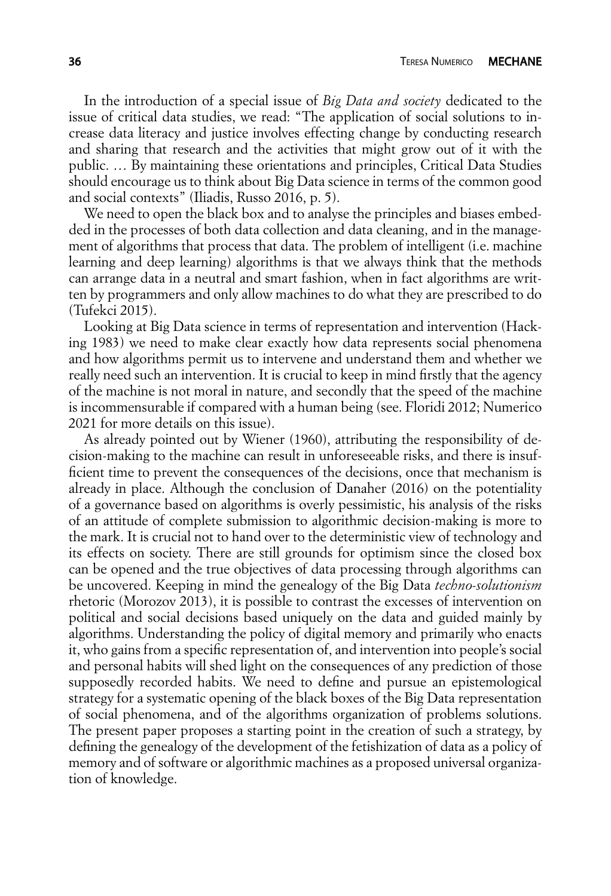In the introduction of a special issue of *Big Data and society* dedicated to the issue of critical data studies, we read: "The application of social solutions to increase data literacy and justice involves effecting change by conducting research and sharing that research and the activities that might grow out of it with the public. … By maintaining these orientations and principles, Critical Data Studies should encourage us to think about Big Data science in terms of the common good and social contexts" (Iliadis, Russo 2016, p. 5).

We need to open the black box and to analyse the principles and biases embedded in the processes of both data collection and data cleaning, and in the management of algorithms that process that data. The problem of intelligent (i.e. machine learning and deep learning) algorithms is that we always think that the methods can arrange data in a neutral and smart fashion, when in fact algorithms are written by programmers and only allow machines to do what they are prescribed to do (Tufekci 2015).

Looking at Big Data science in terms of representation and intervention (Hacking 1983) we need to make clear exactly how data represents social phenomena and how algorithms permit us to intervene and understand them and whether we really need such an intervention. It is crucial to keep in mind firstly that the agency of the machine is not moral in nature, and secondly that the speed of the machine is incommensurable if compared with a human being (see. Floridi 2012; Numerico 2021 for more details on this issue).

As already pointed out by Wiener (1960), attributing the responsibility of decision-making to the machine can result in unforeseeable risks, and there is insufficient time to prevent the consequences of the decisions, once that mechanism is already in place. Although the conclusion of Danaher (2016) on the potentiality of a governance based on algorithms is overly pessimistic, his analysis of the risks of an attitude of complete submission to algorithmic decision-making is more to the mark. It is crucial not to hand over to the deterministic view of technology and its effects on society. There are still grounds for optimism since the closed box can be opened and the true objectives of data processing through algorithms can be uncovered. Keeping in mind the genealogy of the Big Data *techno-solutionism* rhetoric (Morozov 2013), it is possible to contrast the excesses of intervention on political and social decisions based uniquely on the data and guided mainly by algorithms. Understanding the policy of digital memory and primarily who enacts it, who gains from a specific representation of, and intervention into people's social and personal habits will shed light on the consequences of any prediction of those supposedly recorded habits. We need to define and pursue an epistemological strategy for a systematic opening of the black boxes of the Big Data representation of social phenomena, and of the algorithms organization of problems solutions. The present paper proposes a starting point in the creation of such a strategy, by defining the genealogy of the development of the fetishization of data as a policy of memory and of software or algorithmic machines as a proposed universal organization of knowledge.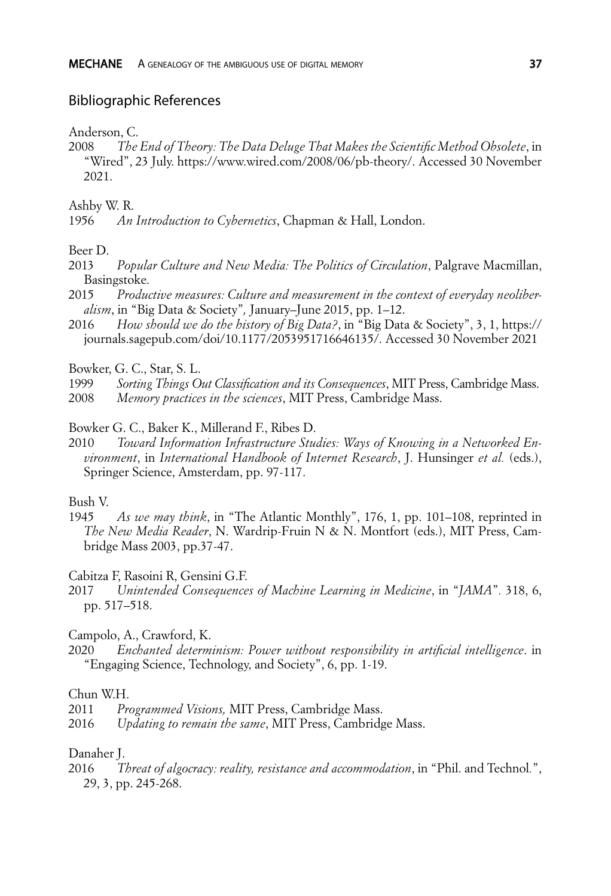#### Bibliographic References

Anderson, C.

2008 *The End of Theory: The Data Deluge That Makes the Scientific Method Obsolete*, in "Wired", 23 July. https://www.wired.com/2008/06/pb-theory/. Accessed 30 November 2021.

Ashby W. R.

1956 *An Introduction to Cybernetics*, Chapman & Hall, London.

Beer D.

- 2013 *Popular Culture and New Media: The Politics of Circulation*, Palgrave Macmillan, Basingstoke.
- 2015 *Productive measures: Culture and measurement in the context of everyday neoliberalism*, in "Big Data & Society"*,* January–June 2015, pp. 1–12.
- 2016 *How should we do the history of Big Data?*, in "Big Data & Society", 3, 1, https:// journals.sagepub.com/doi/10.1177/2053951716646135/. Accessed 30 November 2021
- Bowker, G. C., Star, S. L.
- 1999 *Sorting Things Out Classification and its Consequences*, MIT Press, Cambridge Mass.
- 2008 *Memory practices in the sciences*, MIT Press, Cambridge Mass.
- Bowker G. C., Baker K., Millerand F., Ribes D.
- 2010 *Toward Information Infrastructure Studies: Ways of Knowing in a Networked Environment*, in *International Handbook of Internet Research*, J. Hunsinger *et al.* (eds.), Springer Science, Amsterdam, pp. 97-117.

#### Bush V.

1945 *As we may think*, in "The Atlantic Monthly", 176, 1, pp. 101–108, reprinted in *The New Media Reader*, N. Wardrip-Fruin N & N. Montfort (eds.), MIT Press, Cambridge Mass 2003, pp.37-47.

Cabitza F, Rasoini R, Gensini G.F.

- 2017 *Unintended Consequences of Machine Learning in Medicine*, in "*JAMA*"*.* 318, 6, pp. 517–518.
- Campolo, A., Crawford, K.
- 2020 *Enchanted determinism: Power without responsibility in artificial intelligence*. in "Engaging Science, Technology, and Society", 6, pp. 1-19.

#### Chun W.H.

- 2011 *Programmed Visions,* MIT Press, Cambridge Mass.
- 2016 *Updating to remain the same*, MIT Press, Cambridge Mass.

#### Danaher J.

2016 *Threat of algocracy: reality, resistance and accommodation*, in "Phil. and Technol*.*", 29, 3, pp. 245-268.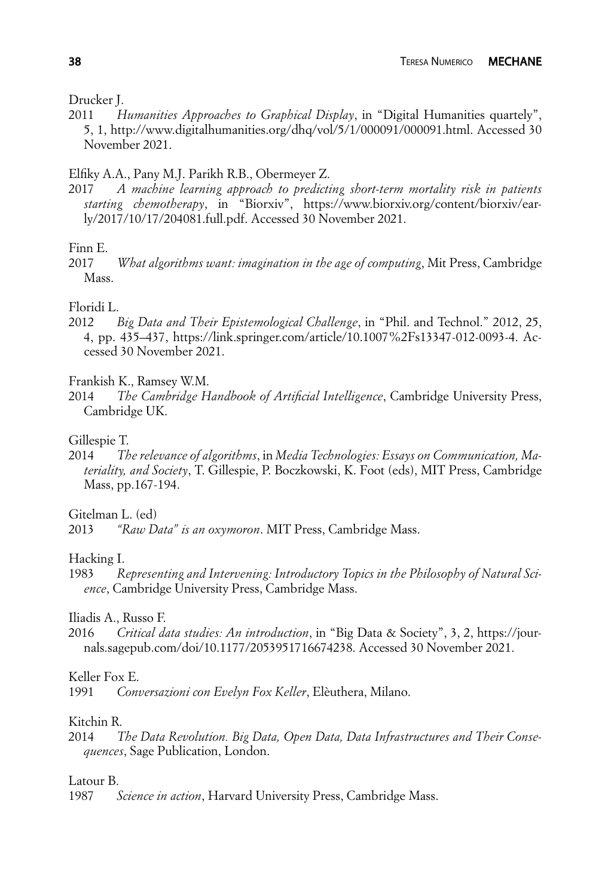Drucker J.

Humanities Approaches to Graphical Display, in "Digital Humanities quartely", 5, 1, http://www.digitalhumanities.org/dhq/vol/5/1/000091/000091.html. Accessed 30 November 2021.

## Elfiky A.A., Pany M.J. Parikh R.B., Obermeyer Z.

2017 *A machine learning approach to predicting short-term mortality risk in patients starting chemotherapy*, in "Biorxiv", https://www.biorxiv.org/content/biorxiv/early/2017/10/17/204081.full.pdf. Accessed 30 November 2021.

#### Finn E.

2017 *What algorithms want: imagination in the age of computing*, Mit Press, Cambridge Mass.

#### Floridi L.

2012 *Big Data and Their Epistemological Challenge*, in "Phil. and Technol." 2012, 25, 4, pp. 435–437, https://link.springer.com/article/10.1007%2Fs13347-012-0093-4. Accessed 30 November 2021.

Frankish K., Ramsey W.M.

2014 *The Cambridge Handbook of Artificial Intelligence*, Cambridge University Press, Cambridge UK.

## Gillespie T.

2014 *The relevance of algorithms*, in *Media Technologies: Essays on Communication, Materiality, and Society*, T. Gillespie, P. Boczkowski, K. Foot (eds), MIT Press, Cambridge Mass, pp.167-194.

Gitelman L. (ed)

2013 *"Raw Data" is an oxymoron*. MIT Press, Cambridge Mass.

Hacking I.

1983 *Representing and Intervening: Introductory Topics in the Philosophy of Natural Science*, Cambridge University Press, Cambridge Mass.

Iliadis A., Russo F.

2016 *Critical data studies: An introduction*, in "Big Data & Society", 3, 2, https://journals.sagepub.com/doi/10.1177/2053951716674238. Accessed 30 November 2021.

## Keller Fox E.

1991 *Conversazioni con Evelyn Fox Keller*, Elèuthera, Milano.

## Kitchin R.

2014 *The Data Revolution. Big Data, Open Data, Data Infrastructures and Their Consequences*, Sage Publication, London.

Latour B.

1987 *Science in action*, Harvard University Press, Cambridge Mass.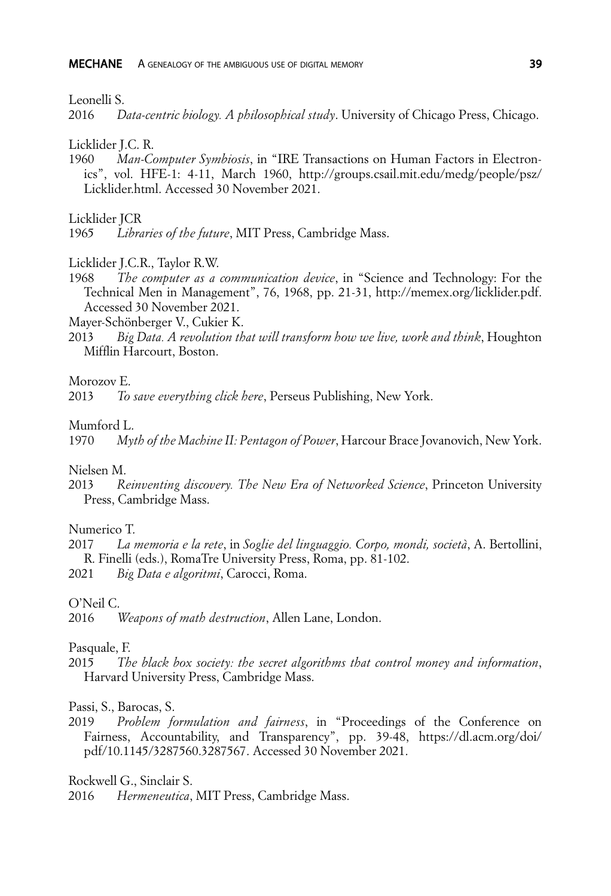Leonelli S.<br>2016 D

2016 *Data-centric biology. A philosophical study*. University of Chicago Press, Chicago.

Licklider J.C. R.

1960 *Man-Computer Symbiosis*, in "IRE Transactions on Human Factors in Electronics", vol. HFE-1: 4-11, March 1960, http://groups.csail.mit.edu/medg/people/psz/ Licklider.html. Accessed 30 November 2021.

Licklider JCR

Licklider J.C.R., Taylor R.W.

1968 *The computer as a communication device*, in "Science and Technology: For the Technical Men in Management", 76, 1968, pp. 21-31, http://memex.org/licklider.pdf. Accessed 30 November 2021.

Mayer-Schönberger V., Cukier K.

2013 *Big Data. A revolution that will transform how we live, work and think*, Houghton Mifflin Harcourt, Boston.

#### Morozov E.

2013 *To save everything click here*, Perseus Publishing, New York.

#### Mumford L.

1970 *Myth of the Machine II: Pentagon of Power*, Harcour Brace Jovanovich, New York.

Nielsen M.

2013 *Reinventing discovery. The New Era of Networked Science*, Princeton University Press, Cambridge Mass.

#### Numerico T.

2017 *La memoria e la rete*, in *Soglie del linguaggio. Corpo, mondi, società*, A. Bertollini, R. Finelli (eds.), RomaTre University Press, Roma, pp. 81-102.

2021 *Big Data e algoritmi*, Carocci, Roma.

### O'Neil C.

#### Pasquale, F.

2015 *The black box society: the secret algorithms that control money and information*, Harvard University Press, Cambridge Mass.

#### Passi, S., Barocas, S.

2019 *Problem formulation and fairness*, in "Proceedings of the Conference on Fairness, Accountability, and Transparency", pp. 39-48, https://dl.acm.org/doi/ pdf/10.1145/3287560.3287567. Accessed 30 November 2021.

Rockwell G., Sinclair S.

2016 *Hermeneutica*, MIT Press, Cambridge Mass.

<sup>1965</sup> *Libraries of the future*, MIT Press, Cambridge Mass.

<sup>2016</sup> *Weapons of math destruction*, Allen Lane, London.